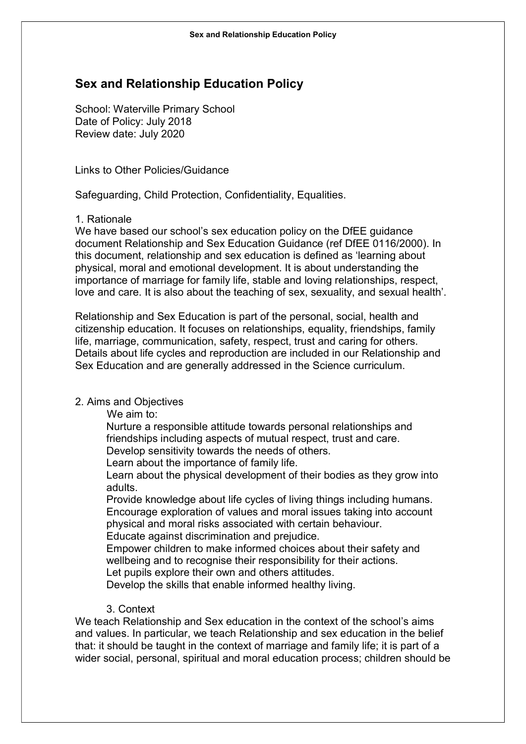# Sex and Relationship Education Policy

School: Waterville Primary School Date of Policy: July 2018 Review date: July 2020

Links to Other Policies/Guidance

Safeguarding, Child Protection, Confidentiality, Equalities.

1. Rationale

We have based our school's sex education policy on the DfEE guidance document Relationship and Sex Education Guidance (ref DfEE 0116/2000). In this document, relationship and sex education is defined as 'learning about physical, moral and emotional development. It is about understanding the importance of marriage for family life, stable and loving relationships, respect, love and care. It is also about the teaching of sex, sexuality, and sexual health'.

Relationship and Sex Education is part of the personal, social, health and citizenship education. It focuses on relationships, equality, friendships, family life, marriage, communication, safety, respect, trust and caring for others. Details about life cycles and reproduction are included in our Relationship and Sex Education and are generally addressed in the Science curriculum.

## 2. Aims and Objectives

We aim to:

Nurture a responsible attitude towards personal relationships and friendships including aspects of mutual respect, trust and care.

Develop sensitivity towards the needs of others.

Learn about the importance of family life.

Learn about the physical development of their bodies as they grow into adults.

Provide knowledge about life cycles of living things including humans. Encourage exploration of values and moral issues taking into account physical and moral risks associated with certain behaviour. Educate against discrimination and prejudice.

Empower children to make informed choices about their safety and wellbeing and to recognise their responsibility for their actions. Let pupils explore their own and others attitudes.

Develop the skills that enable informed healthy living.

### 3. Context

We teach Relationship and Sex education in the context of the school's aims and values. In particular, we teach Relationship and sex education in the belief that: it should be taught in the context of marriage and family life; it is part of a wider social, personal, spiritual and moral education process; children should be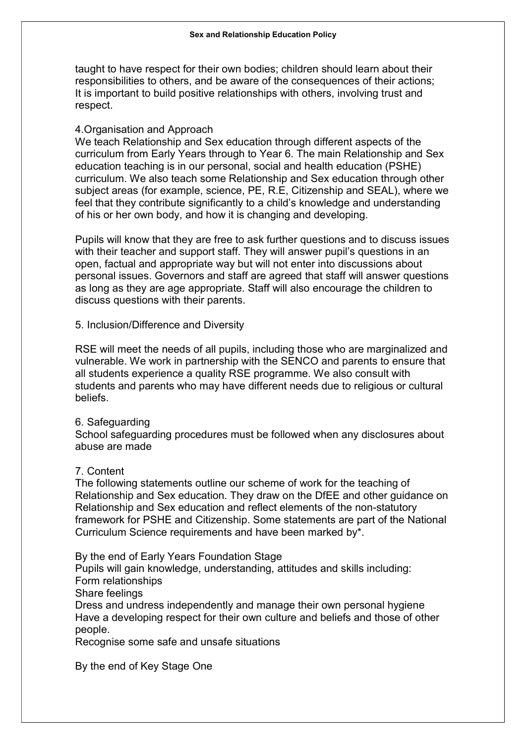taught to have respect for their own bodies; children should learn about their responsibilities to others, and be aware of the consequences of their actions; It is important to build positive relationships with others, involving trust and respect.

# 4.Organisation and Approach

We teach Relationship and Sex education through different aspects of the curriculum from Early Years through to Year 6. The main Relationship and Sex education teaching is in our personal, social and health education (PSHE) curriculum. We also teach some Relationship and Sex education through other subject areas (for example, science, PE, R.E, Citizenship and SEAL), where we feel that they contribute significantly to a child's knowledge and understanding of his or her own body, and how it is changing and developing.

Pupils will know that they are free to ask further questions and to discuss issues with their teacher and support staff. They will answer pupil's questions in an open, factual and appropriate way but will not enter into discussions about personal issues. Governors and staff are agreed that staff will answer questions as long as they are age appropriate. Staff will also encourage the children to discuss questions with their parents.

5. Inclusion/Difference and Diversity

RSE will meet the needs of all pupils, including those who are marginalized and vulnerable. We work in partnership with the SENCO and parents to ensure that all students experience a quality RSE programme. We also consult with students and parents who may have different needs due to religious or cultural beliefs.

## 6. Safeguarding

School safeguarding procedures must be followed when any disclosures about abuse are made

## 7. Content

The following statements outline our scheme of work for the teaching of Relationship and Sex education. They draw on the DfEE and other guidance on Relationship and Sex education and reflect elements of the non-statutory framework for PSHE and Citizenship. Some statements are part of the National Curriculum Science requirements and have been marked by\*.

By the end of Early Years Foundation Stage

Pupils will gain knowledge, understanding, attitudes and skills including: Form relationships

Share feelings

Dress and undress independently and manage their own personal hygiene Have a developing respect for their own culture and beliefs and those of other people.

Recognise some safe and unsafe situations

By the end of Key Stage One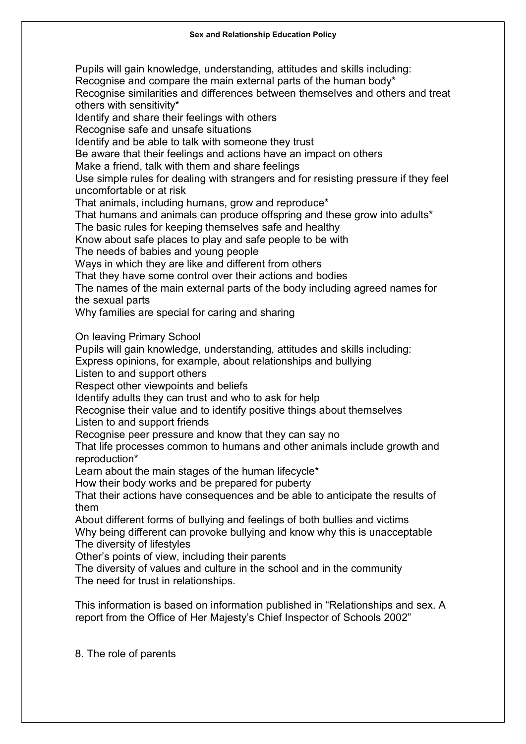Pupils will gain knowledge, understanding, attitudes and skills including: Recognise and compare the main external parts of the human body\* Recognise similarities and differences between themselves and others and treat others with sensitivity\* Identify and share their feelings with others Recognise safe and unsafe situations Identify and be able to talk with someone they trust Be aware that their feelings and actions have an impact on others Make a friend, talk with them and share feelings Use simple rules for dealing with strangers and for resisting pressure if they feel uncomfortable or at risk That animals, including humans, grow and reproduce\* That humans and animals can produce offspring and these grow into adults\* The basic rules for keeping themselves safe and healthy Know about safe places to play and safe people to be with The needs of babies and young people Ways in which they are like and different from others That they have some control over their actions and bodies The names of the main external parts of the body including agreed names for the sexual parts Why families are special for caring and sharing On leaving Primary School Pupils will gain knowledge, understanding, attitudes and skills including: Express opinions, for example, about relationships and bullying Listen to and support others Respect other viewpoints and beliefs Identify adults they can trust and who to ask for help Recognise their value and to identify positive things about themselves Listen to and support friends Recognise peer pressure and know that they can say no That life processes common to humans and other animals include growth and reproduction\* Learn about the main stages of the human lifecycle\* How their body works and be prepared for puberty That their actions have consequences and be able to anticipate the results of them About different forms of bullying and feelings of both bullies and victims Why being different can provoke bullying and know why this is unacceptable The diversity of lifestyles Other's points of view, including their parents

The diversity of values and culture in the school and in the community The need for trust in relationships.

This information is based on information published in "Relationships and sex. A report from the Office of Her Majesty's Chief Inspector of Schools 2002"

8. The role of parents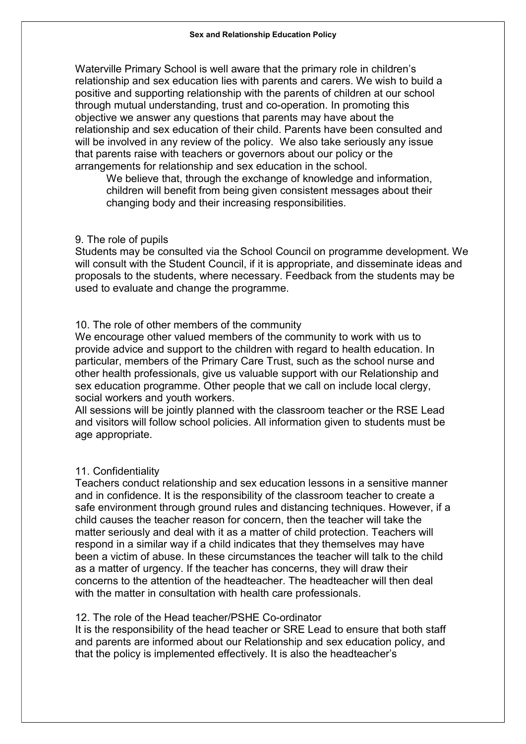Waterville Primary School is well aware that the primary role in children's relationship and sex education lies with parents and carers. We wish to build a positive and supporting relationship with the parents of children at our school through mutual understanding, trust and co-operation. In promoting this objective we answer any questions that parents may have about the relationship and sex education of their child. Parents have been consulted and will be involved in any review of the policy. We also take seriously any issue that parents raise with teachers or governors about our policy or the arrangements for relationship and sex education in the school.

We believe that, through the exchange of knowledge and information, children will benefit from being given consistent messages about their changing body and their increasing responsibilities.

#### 9. The role of pupils

Students may be consulted via the School Council on programme development. We will consult with the Student Council, if it is appropriate, and disseminate ideas and proposals to the students, where necessary. Feedback from the students may be used to evaluate and change the programme.

#### 10. The role of other members of the community

We encourage other valued members of the community to work with us to provide advice and support to the children with regard to health education. In particular, members of the Primary Care Trust, such as the school nurse and other health professionals, give us valuable support with our Relationship and sex education programme. Other people that we call on include local clergy, social workers and youth workers.

All sessions will be jointly planned with the classroom teacher or the RSE Lead and visitors will follow school policies. All information given to students must be age appropriate.

#### 11. Confidentiality

Teachers conduct relationship and sex education lessons in a sensitive manner and in confidence. It is the responsibility of the classroom teacher to create a safe environment through ground rules and distancing techniques. However, if a child causes the teacher reason for concern, then the teacher will take the matter seriously and deal with it as a matter of child protection. Teachers will respond in a similar way if a child indicates that they themselves may have been a victim of abuse. In these circumstances the teacher will talk to the child as a matter of urgency. If the teacher has concerns, they will draw their concerns to the attention of the headteacher. The headteacher will then deal with the matter in consultation with health care professionals.

#### 12. The role of the Head teacher/PSHE Co-ordinator

It is the responsibility of the head teacher or SRE Lead to ensure that both staff and parents are informed about our Relationship and sex education policy, and that the policy is implemented effectively. It is also the headteacher's